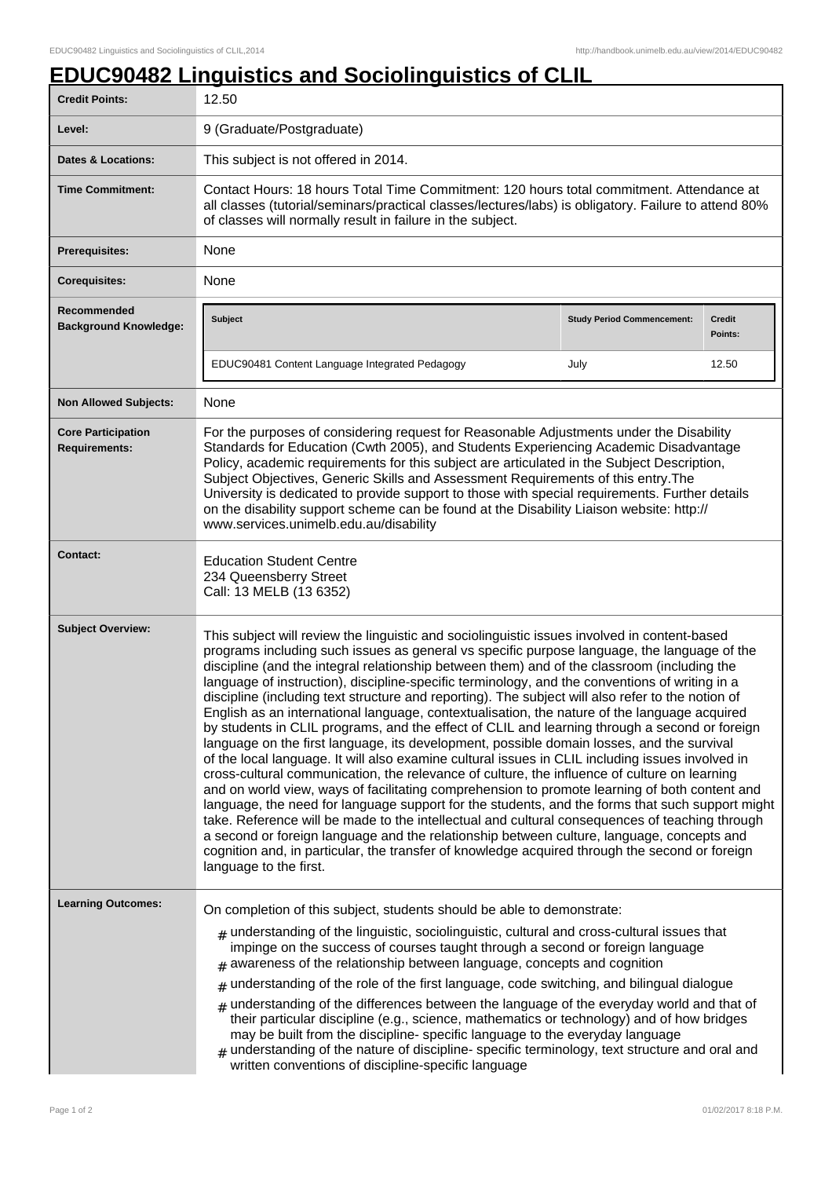## **EDUC90482 Linguistics and Sociolinguistics of CLIL**

| <b>Credit Points:</b>                             | 12.50                                                                                                                                                                                                                                                                                                                                                                                                                                                                                                                                                                                                                                                                                                                                                                                                                                                                                                                                                                                                                                                                                                                                                                                                                                                                                                                                                                                                                                                                                                                              |                                   |                   |
|---------------------------------------------------|------------------------------------------------------------------------------------------------------------------------------------------------------------------------------------------------------------------------------------------------------------------------------------------------------------------------------------------------------------------------------------------------------------------------------------------------------------------------------------------------------------------------------------------------------------------------------------------------------------------------------------------------------------------------------------------------------------------------------------------------------------------------------------------------------------------------------------------------------------------------------------------------------------------------------------------------------------------------------------------------------------------------------------------------------------------------------------------------------------------------------------------------------------------------------------------------------------------------------------------------------------------------------------------------------------------------------------------------------------------------------------------------------------------------------------------------------------------------------------------------------------------------------------|-----------------------------------|-------------------|
| Level:                                            | 9 (Graduate/Postgraduate)                                                                                                                                                                                                                                                                                                                                                                                                                                                                                                                                                                                                                                                                                                                                                                                                                                                                                                                                                                                                                                                                                                                                                                                                                                                                                                                                                                                                                                                                                                          |                                   |                   |
| <b>Dates &amp; Locations:</b>                     | This subject is not offered in 2014.                                                                                                                                                                                                                                                                                                                                                                                                                                                                                                                                                                                                                                                                                                                                                                                                                                                                                                                                                                                                                                                                                                                                                                                                                                                                                                                                                                                                                                                                                               |                                   |                   |
| <b>Time Commitment:</b>                           | Contact Hours: 18 hours Total Time Commitment: 120 hours total commitment. Attendance at<br>all classes (tutorial/seminars/practical classes/lectures/labs) is obligatory. Failure to attend 80%<br>of classes will normally result in failure in the subject.                                                                                                                                                                                                                                                                                                                                                                                                                                                                                                                                                                                                                                                                                                                                                                                                                                                                                                                                                                                                                                                                                                                                                                                                                                                                     |                                   |                   |
| <b>Prerequisites:</b>                             | None                                                                                                                                                                                                                                                                                                                                                                                                                                                                                                                                                                                                                                                                                                                                                                                                                                                                                                                                                                                                                                                                                                                                                                                                                                                                                                                                                                                                                                                                                                                               |                                   |                   |
| <b>Corequisites:</b>                              | None                                                                                                                                                                                                                                                                                                                                                                                                                                                                                                                                                                                                                                                                                                                                                                                                                                                                                                                                                                                                                                                                                                                                                                                                                                                                                                                                                                                                                                                                                                                               |                                   |                   |
| Recommended<br><b>Background Knowledge:</b>       | <b>Subject</b>                                                                                                                                                                                                                                                                                                                                                                                                                                                                                                                                                                                                                                                                                                                                                                                                                                                                                                                                                                                                                                                                                                                                                                                                                                                                                                                                                                                                                                                                                                                     | <b>Study Period Commencement:</b> | Credit<br>Points: |
|                                                   | EDUC90481 Content Language Integrated Pedagogy                                                                                                                                                                                                                                                                                                                                                                                                                                                                                                                                                                                                                                                                                                                                                                                                                                                                                                                                                                                                                                                                                                                                                                                                                                                                                                                                                                                                                                                                                     | July                              | 12.50             |
| <b>Non Allowed Subjects:</b>                      | None                                                                                                                                                                                                                                                                                                                                                                                                                                                                                                                                                                                                                                                                                                                                                                                                                                                                                                                                                                                                                                                                                                                                                                                                                                                                                                                                                                                                                                                                                                                               |                                   |                   |
| <b>Core Participation</b><br><b>Requirements:</b> | For the purposes of considering request for Reasonable Adjustments under the Disability<br>Standards for Education (Cwth 2005), and Students Experiencing Academic Disadvantage<br>Policy, academic requirements for this subject are articulated in the Subject Description,<br>Subject Objectives, Generic Skills and Assessment Requirements of this entry. The<br>University is dedicated to provide support to those with special requirements. Further details<br>on the disability support scheme can be found at the Disability Liaison website: http://<br>www.services.unimelb.edu.au/disability                                                                                                                                                                                                                                                                                                                                                                                                                                                                                                                                                                                                                                                                                                                                                                                                                                                                                                                         |                                   |                   |
| <b>Contact:</b>                                   | <b>Education Student Centre</b><br>234 Queensberry Street<br>Call: 13 MELB (13 6352)                                                                                                                                                                                                                                                                                                                                                                                                                                                                                                                                                                                                                                                                                                                                                                                                                                                                                                                                                                                                                                                                                                                                                                                                                                                                                                                                                                                                                                               |                                   |                   |
| <b>Subject Overview:</b>                          | This subject will review the linguistic and sociolinguistic issues involved in content-based<br>programs including such issues as general vs specific purpose language, the language of the<br>discipline (and the integral relationship between them) and of the classroom (including the<br>language of instruction), discipline-specific terminology, and the conventions of writing in a<br>discipline (including text structure and reporting). The subject will also refer to the notion of<br>English as an international language, contextualisation, the nature of the language acquired<br>by students in CLIL programs, and the effect of CLIL and learning through a second or foreign<br>language on the first language, its development, possible domain losses, and the survival<br>of the local language. It will also examine cultural issues in CLIL including issues involved in<br>cross-cultural communication, the relevance of culture, the influence of culture on learning<br>and on world view, ways of facilitating comprehension to promote learning of both content and<br>language, the need for language support for the students, and the forms that such support might<br>take. Reference will be made to the intellectual and cultural consequences of teaching through<br>a second or foreign language and the relationship between culture, language, concepts and<br>cognition and, in particular, the transfer of knowledge acquired through the second or foreign<br>language to the first. |                                   |                   |
| <b>Learning Outcomes:</b>                         | On completion of this subject, students should be able to demonstrate:<br>$_{\#}$ understanding of the linguistic, sociolinguistic, cultural and cross-cultural issues that<br>impinge on the success of courses taught through a second or foreign language<br>awareness of the relationship between language, concepts and cognition<br>$#$ understanding of the role of the first language, code switching, and bilingual dialogue<br>$#$ understanding of the differences between the language of the everyday world and that of<br>their particular discipline (e.g., science, mathematics or technology) and of how bridges<br>may be built from the discipline-specific language to the everyday language<br>$_{\#}$ understanding of the nature of discipline-specific terminology, text structure and oral and<br>written conventions of discipline-specific language                                                                                                                                                                                                                                                                                                                                                                                                                                                                                                                                                                                                                                                     |                                   |                   |